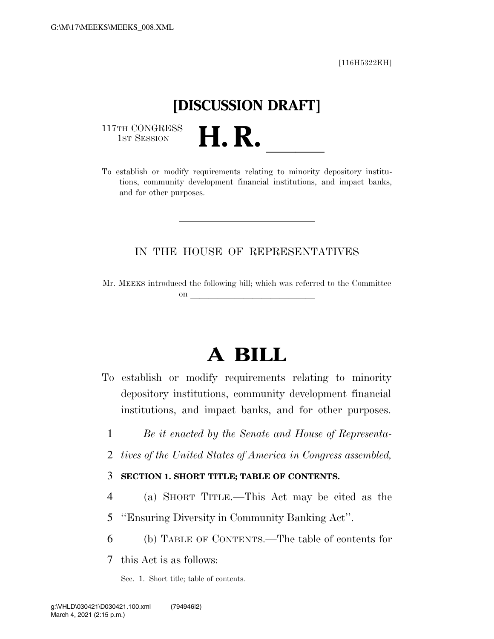[116H5322EH]

# **[DISCUSSION DRAFT]**

117TH CONGRESS<br>1st Session

1ST SESSION **H. R.** ll To establish or modify requirements relating to minority depository institutions, community development financial institutions, and impact banks, and for other purposes.

#### IN THE HOUSE OF REPRESENTATIVES

Mr. MEEKS introduced the following bill; which was referred to the Committee on  $\overline{\qquad \qquad }$ 

## **A BILL**

- To establish or modify requirements relating to minority depository institutions, community development financial institutions, and impact banks, and for other purposes.
	- 1 *Be it enacted by the Senate and House of Representa-*
	- 2 *tives of the United States of America in Congress assembled,*

#### 3 **SECTION 1. SHORT TITLE; TABLE OF CONTENTS.**

- 4 (a) SHORT TITLE.—This Act may be cited as the
- 5 ''Ensuring Diversity in Community Banking Act''.
- 6 (b) TABLE OF CONTENTS.—The table of contents for

7 this Act is as follows:

Sec. 1. Short title; table of contents.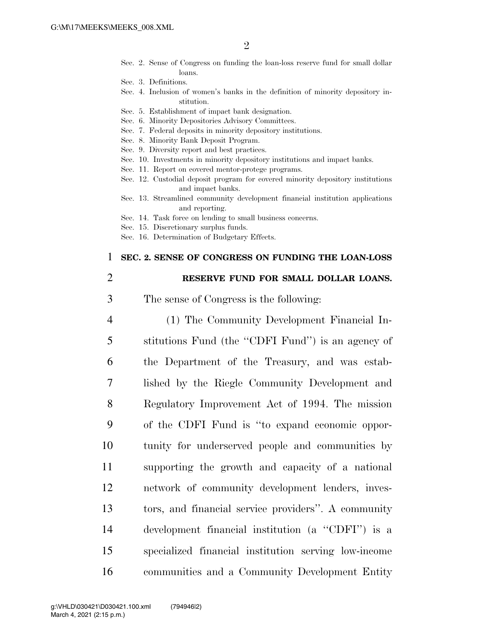- Sec. 2. Sense of Congress on funding the loan-loss reserve fund for small dollar loans.
- Sec. 3. Definitions.
- Sec. 4. Inclusion of women's banks in the definition of minority depository institution.
- Sec. 5. Establishment of impact bank designation.
- Sec. 6. Minority Depositories Advisory Committees.
- Sec. 7. Federal deposits in minority depository institutions.
- Sec. 8. Minority Bank Deposit Program.
- Sec. 9. Diversity report and best practices.
- Sec. 10. Investments in minority depository institutions and impact banks.
- Sec. 11. Report on covered mentor-protege programs.
- Sec. 12. Custodial deposit program for covered minority depository institutions and impact banks.
- Sec. 13. Streamlined community development financial institution applications and reporting.
- Sec. 14. Task force on lending to small business concerns.
- Sec. 15. Discretionary surplus funds.
- Sec. 16. Determination of Budgetary Effects.

#### 1 **SEC. 2. SENSE OF CONGRESS ON FUNDING THE LOAN-LOSS**

#### 2 **RESERVE FUND FOR SMALL DOLLAR LOANS.**

- 3 The sense of Congress is the following:
- 4 (1) The Community Development Financial In-5 stitutions Fund (the ''CDFI Fund'') is an agency of 6 the Department of the Treasury, and was estab-7 lished by the Riegle Community Development and 8 Regulatory Improvement Act of 1994. The mission 9 of the CDFI Fund is ''to expand economic oppor-10 tunity for underserved people and communities by 11 supporting the growth and capacity of a national 12 network of community development lenders, inves-13 tors, and financial service providers''. A community 14 development financial institution (a ''CDFI'') is a 15 specialized financial institution serving low-income 16 communities and a Community Development Entity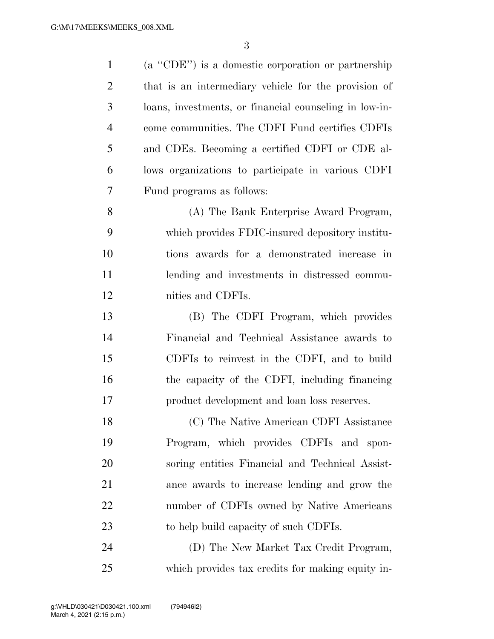| $\mathbf{1}$   | (a "CDE") is a domestic corporation or partnership     |
|----------------|--------------------------------------------------------|
| $\overline{c}$ | that is an intermediary vehicle for the provision of   |
| 3              | loans, investments, or financial counseling in low-in- |
| $\overline{4}$ | come communities. The CDFI Fund certifies CDFIs        |
| 5              | and CDEs. Becoming a certified CDFI or CDE al-         |
| 6              | lows organizations to participate in various CDFI      |
| 7              | Fund programs as follows:                              |
| 8              | (A) The Bank Enterprise Award Program,                 |
| 9              | which provides FDIC-insured depository institu-        |
| 10             | tions awards for a demonstrated increase in            |
| 11             | lending and investments in distressed commu-           |
| 12             | nities and CDFIs.                                      |
| 13             | (B) The CDFI Program, which provides                   |
| 14             | Financial and Technical Assistance awards to           |
| 15             | CDFIs to reinvest in the CDFI, and to build            |
| 16             | the capacity of the CDFI, including financing          |
| 17             | product development and loan loss reserves.            |
| 18             | (C) The Native American CDFI Assistance                |
| 19             | Program, which provides CDFIs and spon-                |
| 20             | soring entities Financial and Technical Assist-        |
| 21             | ance awards to increase lending and grow the           |
| 22             | number of CDFIs owned by Native Americans              |
| 23             | to help build capacity of such CDFIs.                  |
| 24             | (D) The New Market Tax Credit Program,                 |
| 25             | which provides tax credits for making equity in-       |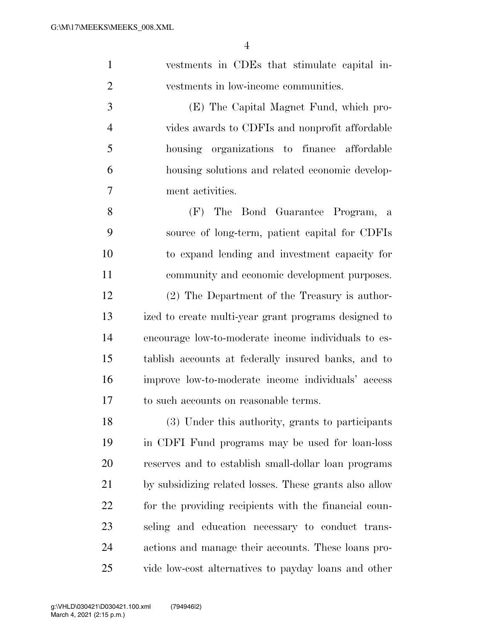| $\mathbf{1}$   | vestments in CDEs that stimulate capital in-    |
|----------------|-------------------------------------------------|
| $\overline{2}$ | vestments in low-income communities.            |
| 3              | (E) The Capital Magnet Fund, which pro-         |
| $\overline{4}$ | vides awards to CDFIs and nonprofit affordable  |
| 5              | housing organizations to finance affordable     |
| 6              | housing solutions and related economic develop- |
| $\overline{7}$ | ment activities.                                |
| 8              | The Bond Guarantee Program, a<br>(F)            |
| 9              | source of long-term, patient capital for CDFIs  |

 to expand lending and investment capacity for community and economic development purposes. (2) The Department of the Treasury is author- ized to create multi-year grant programs designed to encourage low-to-moderate income individuals to es- tablish accounts at federally insured banks, and to improve low-to-moderate income individuals' access to such accounts on reasonable terms.

 (3) Under this authority, grants to participants in CDFI Fund programs may be used for loan-loss reserves and to establish small-dollar loan programs by subsidizing related losses. These grants also allow for the providing recipients with the financial coun- seling and education necessary to conduct trans- actions and manage their accounts. These loans pro-vide low-cost alternatives to payday loans and other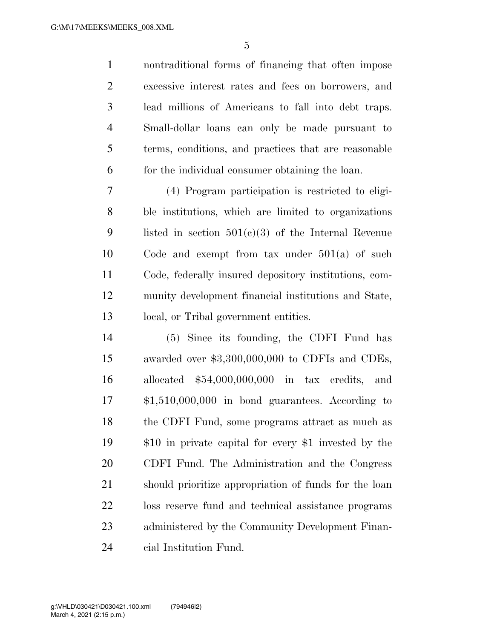nontraditional forms of financing that often impose excessive interest rates and fees on borrowers, and lead millions of Americans to fall into debt traps. Small-dollar loans can only be made pursuant to terms, conditions, and practices that are reasonable for the individual consumer obtaining the loan.

 (4) Program participation is restricted to eligi- ble institutions, which are limited to organizations listed in section 501(c)(3) of the Internal Revenue Code and exempt from tax under 501(a) of such Code, federally insured depository institutions, com- munity development financial institutions and State, local, or Tribal government entities.

 (5) Since its founding, the CDFI Fund has awarded over \$3,300,000,000 to CDFIs and CDEs, allocated \$54,000,000,000 in tax credits, and \$1,510,000,000 in bond guarantees. According to the CDFI Fund, some programs attract as much as \$10 in private capital for every \$1 invested by the CDFI Fund. The Administration and the Congress should prioritize appropriation of funds for the loan loss reserve fund and technical assistance programs administered by the Community Development Finan-cial Institution Fund.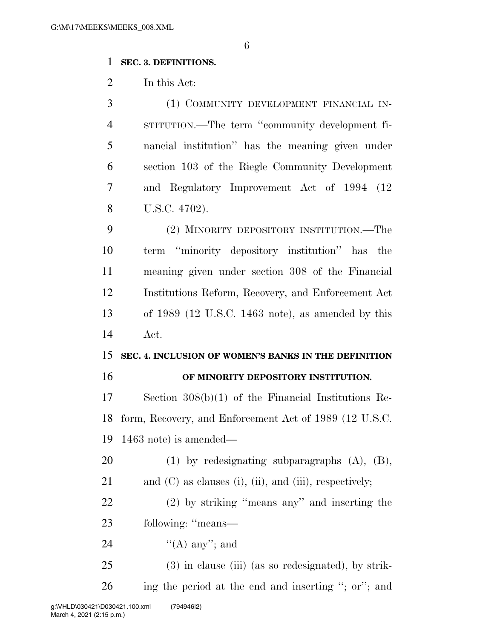#### **SEC. 3. DEFINITIONS.**

In this Act:

 (1) COMMUNITY DEVELOPMENT FINANCIAL IN- STITUTION.—The term ''community development fi- nancial institution'' has the meaning given under section 103 of the Riegle Community Development and Regulatory Improvement Act of 1994 (12 U.S.C. 4702).

 (2) MINORITY DEPOSITORY INSTITUTION.—The term ''minority depository institution'' has the meaning given under section 308 of the Financial Institutions Reform, Recovery, and Enforcement Act of 1989 (12 U.S.C. 1463 note), as amended by this Act.

## **SEC. 4. INCLUSION OF WOMEN'S BANKS IN THE DEFINITION**

#### **OF MINORITY DEPOSITORY INSTITUTION.**

 Section 308(b)(1) of the Financial Institutions Re- form, Recovery, and Enforcement Act of 1989 (12 U.S.C. 1463 note) is amended—

(1) by redesignating subparagraphs (A), (B),

- 21 and (C) as clauses (i), (ii), and (iii), respectively;
- (2) by striking ''means any'' and inserting the following: ''means—
- 24  $((A)$  any"; and
- (3) in clause (iii) (as so redesignated), by strik-ing the period at the end and inserting ''; or''; and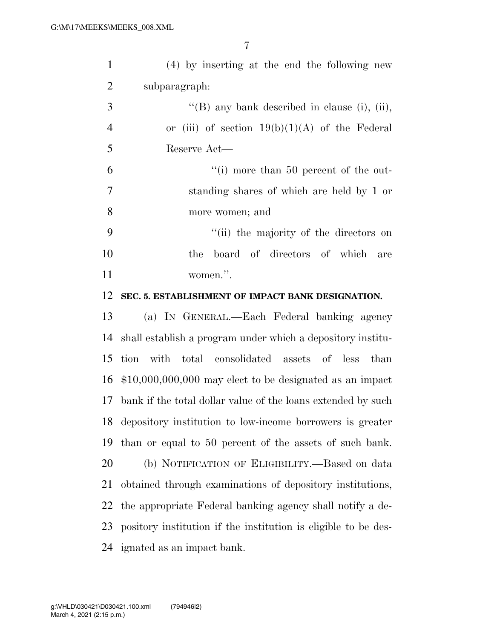| $\mathbf{1}$   | $(4)$ by inserting at the end the following new                |
|----------------|----------------------------------------------------------------|
| $\overline{2}$ | subparagraph:                                                  |
| 3              | "(B) any bank described in clause (i), (ii),                   |
| $\overline{4}$ | or (iii) of section $19(b)(1)(A)$ of the Federal               |
| 5              | Reserve Act—                                                   |
| 6              | "(i) more than 50 percent of the out-                          |
| 7              | standing shares of which are held by 1 or                      |
| 8              | more women; and                                                |
| 9              | "(ii) the majority of the directors on                         |
| 10             | board of directors of which are<br>the                         |
| 11             | women.".                                                       |
| 12             | SEC. 5. ESTABLISHMENT OF IMPACT BANK DESIGNATION.              |
| 13             | (a) IN GENERAL.—Each Federal banking agency                    |
| 14             | shall establish a program under which a depository institu-    |
| 15             | tion with total consolidated assets of less than               |
| 16             | $$10,000,000,000$ may elect to be designated as an impact      |
| 17             | bank if the total dollar value of the loans extended by such   |
|                | 18 depository institution to low-income borrowers is greater   |
| 19             | than or equal to 50 percent of the assets of such bank.        |
| 20             | (b) NOTIFICATION OF ELIGIBILITY.—Based on data                 |
| 21             | obtained through examinations of depository institutions,      |
| 22             | the appropriate Federal banking agency shall notify a de-      |
| 23             | pository institution if the institution is eligible to be des- |
| 24             | ignated as an impact bank.                                     |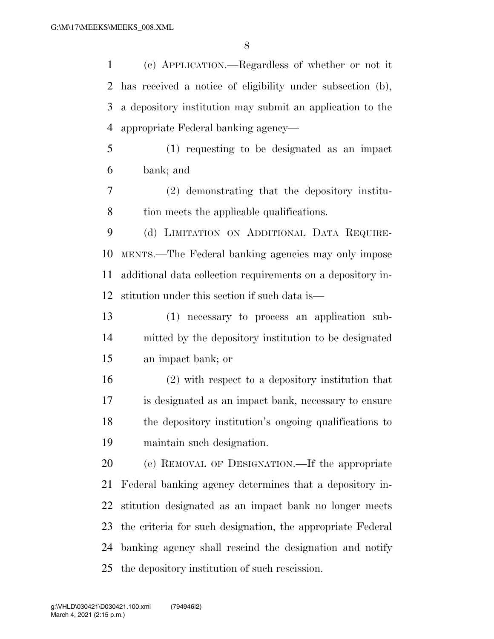(c) APPLICATION.—Regardless of whether or not it has received a notice of eligibility under subsection (b), a depository institution may submit an application to the appropriate Federal banking agency—

 (1) requesting to be designated as an impact bank; and

 (2) demonstrating that the depository institu-8 tion meets the applicable qualifications.

 (d) LIMITATION ON ADDITIONAL DATA REQUIRE- MENTS.—The Federal banking agencies may only impose additional data collection requirements on a depository in-stitution under this section if such data is—

 (1) necessary to process an application sub- mitted by the depository institution to be designated an impact bank; or

 (2) with respect to a depository institution that is designated as an impact bank, necessary to ensure the depository institution's ongoing qualifications to maintain such designation.

 (e) REMOVAL OF DESIGNATION.—If the appropriate Federal banking agency determines that a depository in- stitution designated as an impact bank no longer meets the criteria for such designation, the appropriate Federal banking agency shall rescind the designation and notify the depository institution of such rescission.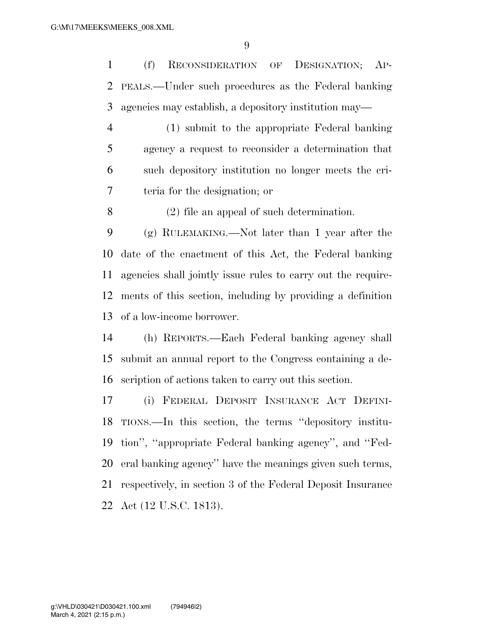(f) RECONSIDERATION OF DESIGNATION; AP- PEALS.—Under such procedures as the Federal banking agencies may establish, a depository institution may—

 (1) submit to the appropriate Federal banking agency a request to reconsider a determination that such depository institution no longer meets the cri-teria for the designation; or

(2) file an appeal of such determination.

 (g) RULEMAKING.—Not later than 1 year after the date of the enactment of this Act, the Federal banking agencies shall jointly issue rules to carry out the require- ments of this section, including by providing a definition of a low-income borrower.

 (h) REPORTS.—Each Federal banking agency shall submit an annual report to the Congress containing a de-scription of actions taken to carry out this section.

 (i) FEDERAL DEPOSIT INSURANCE ACT DEFINI- TIONS.—In this section, the terms ''depository institu- tion'', ''appropriate Federal banking agency'', and ''Fed- eral banking agency'' have the meanings given such terms, respectively, in section 3 of the Federal Deposit Insurance Act (12 U.S.C. 1813).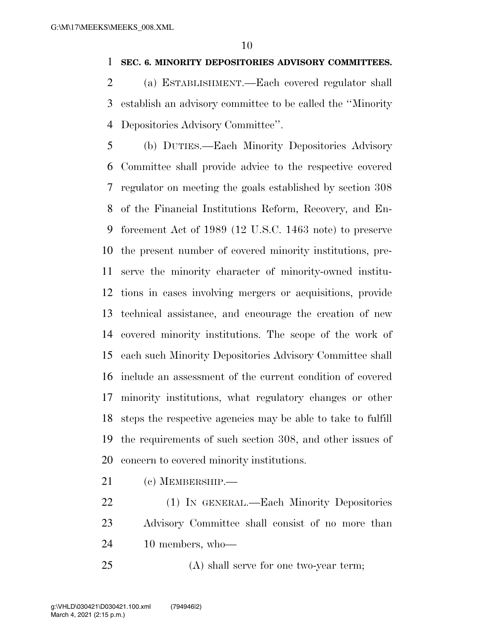#### **SEC. 6. MINORITY DEPOSITORIES ADVISORY COMMITTEES.**

 (a) ESTABLISHMENT.—Each covered regulator shall establish an advisory committee to be called the ''Minority Depositories Advisory Committee''.

 (b) DUTIES.—Each Minority Depositories Advisory Committee shall provide advice to the respective covered regulator on meeting the goals established by section 308 of the Financial Institutions Reform, Recovery, and En- forcement Act of 1989 (12 U.S.C. 1463 note) to preserve the present number of covered minority institutions, pre- serve the minority character of minority-owned institu- tions in cases involving mergers or acquisitions, provide technical assistance, and encourage the creation of new covered minority institutions. The scope of the work of each such Minority Depositories Advisory Committee shall include an assessment of the current condition of covered minority institutions, what regulatory changes or other steps the respective agencies may be able to take to fulfill the requirements of such section 308, and other issues of concern to covered minority institutions.

- (c) MEMBERSHIP.—
- (1) IN GENERAL.—Each Minority Depositories Advisory Committee shall consist of no more than 10 members, who—
- (A) shall serve for one two-year term;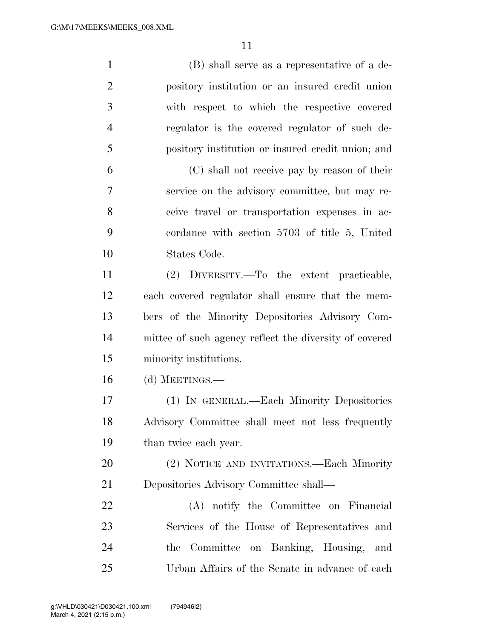| $\mathbf{1}$   | (B) shall serve as a representative of a de-           |
|----------------|--------------------------------------------------------|
| $\overline{2}$ | pository institution or an insured credit union        |
| 3              | with respect to which the respective covered           |
| $\overline{4}$ | regulator is the covered regulator of such de-         |
| 5              | pository institution or insured credit union; and      |
| 6              | (C) shall not receive pay by reason of their           |
| $\overline{7}$ | service on the advisory committee, but may re-         |
| 8              | ceive travel or transportation expenses in ac-         |
| 9              | cordance with section 5703 of title 5, United          |
| 10             | States Code.                                           |
| 11             | (2) DIVERSITY.—To the extent practicable,              |
| 12             | each covered regulator shall ensure that the mem-      |
| 13             | bers of the Minority Depositories Advisory Com-        |
| 14             | mittee of such agency reflect the diversity of covered |
| 15             | minority institutions.                                 |
| 16             | (d) MEETINGS.—                                         |
| 17             | (1) IN GENERAL.—Each Minority Depositories             |
| 18             | Advisory Committee shall meet not less frequently      |
| 19             | than twice each year.                                  |
| 20             | (2) NOTICE AND INVITATIONS.—Each Minority              |
| 21             | Depositories Advisory Committee shall—                 |
| 22             | (A) notify the Committee on Financial                  |
| 23             | Services of the House of Representatives and           |
| 24             | the Committee on Banking, Housing, and                 |
| 25             | Urban Affairs of the Senate in advance of each         |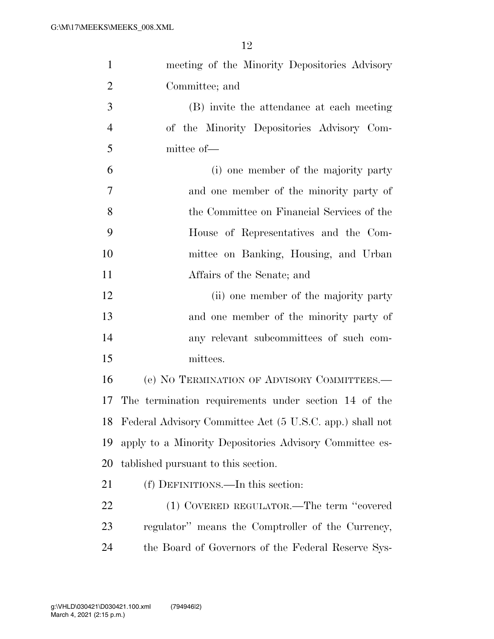| $\mathbf{1}$   | meeting of the Minority Depositories Advisory            |
|----------------|----------------------------------------------------------|
| $\overline{2}$ | Committee; and                                           |
| 3              | (B) invite the attendance at each meeting                |
| $\overline{4}$ | of the Minority Depositories Advisory Com-               |
| 5              | mittee of-                                               |
| 6              | (i) one member of the majority party                     |
| 7              | and one member of the minority party of                  |
| 8              | the Committee on Financial Services of the               |
| 9              | House of Representatives and the Com-                    |
| 10             | mittee on Banking, Housing, and Urban                    |
| 11             | Affairs of the Senate; and                               |
| 12             | (ii) one member of the majority party                    |
| 13             | and one member of the minority party of                  |
| 14             | any relevant subcommittees of such com-                  |
| 15             | mittees.                                                 |
| 16             | (e) NO TERMINATION OF ADVISORY COMMITTEES.—              |
| 17             | The termination requirements under section 14 of the     |
| 18             | Federal Advisory Committee Act (5 U.S.C. app.) shall not |
| 19             | apply to a Minority Depositories Advisory Committee es-  |
| 20             | tablished pursuant to this section.                      |
| 21             | (f) DEFINITIONS.—In this section:                        |
| 22             | (1) COVERED REGULATOR.—The term "covered                 |
| 23             | regulator" means the Comptroller of the Currency,        |
| 24             | the Board of Governors of the Federal Reserve Sys-       |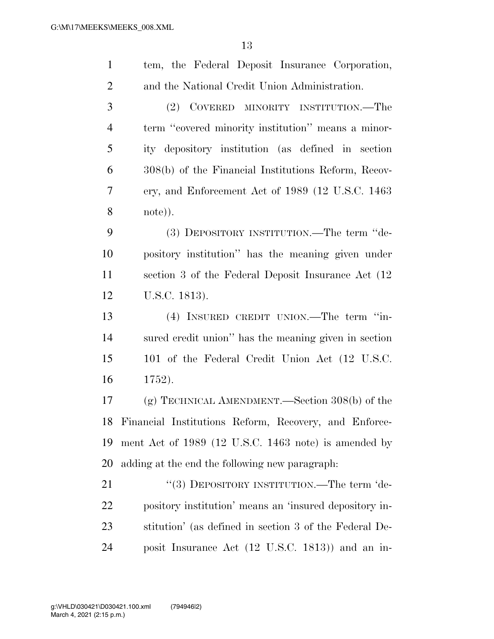| $\mathbf{1}$   | tem, the Federal Deposit Insurance Corporation,        |
|----------------|--------------------------------------------------------|
| $\overline{2}$ | and the National Credit Union Administration.          |
| 3              | COVERED MINORITY INSTITUTION.—The<br>(2)               |
| $\overline{4}$ | term "covered minority institution" means a minor-     |
| 5              | ity depository institution (as defined in section      |
| 6              | 308(b) of the Financial Institutions Reform, Recov-    |
| 7              | ery, and Enforcement Act of 1989 (12 U.S.C. 1463       |
| 8              | note)).                                                |
| 9              | (3) DEPOSITORY INSTITUTION.—The term "de-              |
| 10             | pository institution" has the meaning given under      |
| 11             | section 3 of the Federal Deposit Insurance Act (12)    |
| 12             | U.S.C. 1813).                                          |
|                |                                                        |
| 13             | (4) INSURED CREDIT UNION.—The term "in-                |
| 14             | sured credit union" has the meaning given in section   |
| 15             | 101 of the Federal Credit Union Act (12 U.S.C.         |
| 16             | 1752).                                                 |
| 17             | (g) TECHNICAL AMENDMENT.—Section $308(b)$ of the       |
| 18             | Financial Institutions Reform, Recovery, and Enforce-  |
| 19             | ment Act of 1989 (12 U.S.C. 1463 note) is amended by   |
| 20             | adding at the end the following new paragraph.         |
| 21             | "(3) DEPOSITORY INSTITUTION.—The term 'de-             |
| 22             | pository institution' means an 'insured depository in- |
| 23             | stitution' (as defined in section 3 of the Federal De- |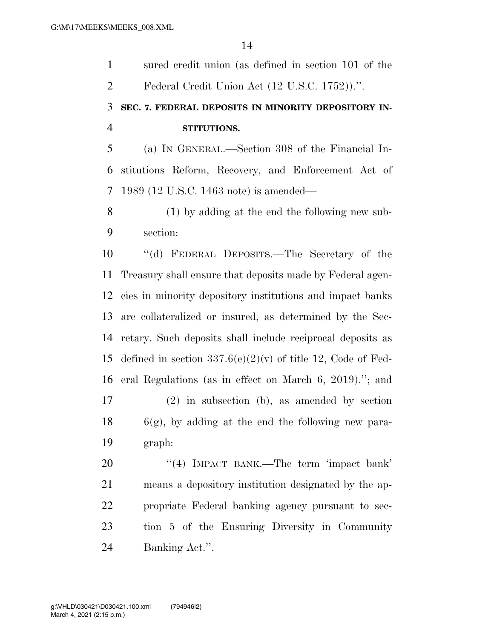sured credit union (as defined in section 101 of the Federal Credit Union Act (12 U.S.C. 1752)).''.

### **SEC. 7. FEDERAL DEPOSITS IN MINORITY DEPOSITORY IN-STITUTIONS.**

 (a) IN GENERAL.—Section 308 of the Financial In- stitutions Reform, Recovery, and Enforcement Act of 1989 (12 U.S.C. 1463 note) is amended—

 (1) by adding at the end the following new sub-section:

 ''(d) FEDERAL DEPOSITS.—The Secretary of the Treasury shall ensure that deposits made by Federal agen- cies in minority depository institutions and impact banks are collateralized or insured, as determined by the Sec- retary. Such deposits shall include reciprocal deposits as 15 defined in section  $337.6(e)(2)(v)$  of title 12, Code of Fed- eral Regulations (as in effect on March 6, 2019).''; and (2) in subsection (b), as amended by section 6(g), by adding at the end the following new para-graph:

20 "(4) IMPACT BANK.—The term 'impact bank' means a depository institution designated by the ap- propriate Federal banking agency pursuant to sec- tion 5 of the Ensuring Diversity in Community Banking Act.''.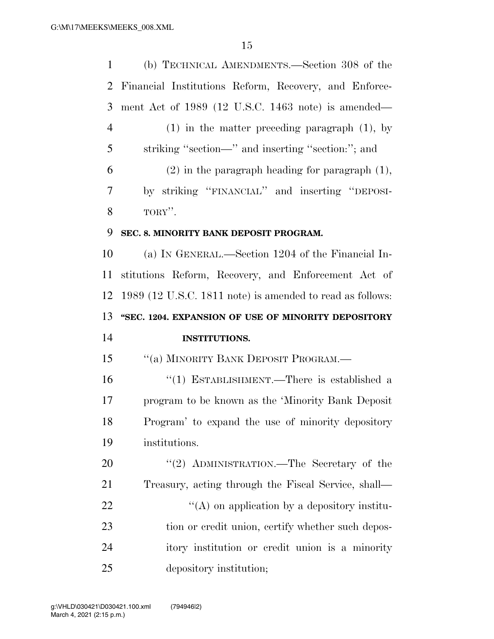(b) TECHNICAL AMENDMENTS.—Section 308 of the Financial Institutions Reform, Recovery, and Enforce- ment Act of 1989 (12 U.S.C. 1463 note) is amended— (1) in the matter preceding paragraph (1), by striking ''section—'' and inserting ''section:''; and (2) in the paragraph heading for paragraph (1), by striking ''FINANCIAL'' and inserting ''DEPOSI- $8 \qquad \qquad \text{TORY}$ ". **SEC. 8. MINORITY BANK DEPOSIT PROGRAM.**  (a) IN GENERAL.—Section 1204 of the Financial In- stitutions Reform, Recovery, and Enforcement Act of 1989 (12 U.S.C. 1811 note) is amended to read as follows: **''SEC. 1204. EXPANSION OF USE OF MINORITY DEPOSITORY INSTITUTIONS.**  15 "(a) MINORITY BANK DEPOSIT PROGRAM.— ''(1) ESTABLISHMENT.—There is established a program to be known as the 'Minority Bank Deposit Program' to expand the use of minority depository institutions. 20 "(2) ADMINISTRATION.—The Secretary of the Treasury, acting through the Fiscal Service, shall—  $\mathcal{L}(A)$  on application by a depository institu-23 tion or credit union, certify whether such depos- itory institution or credit union is a minority depository institution;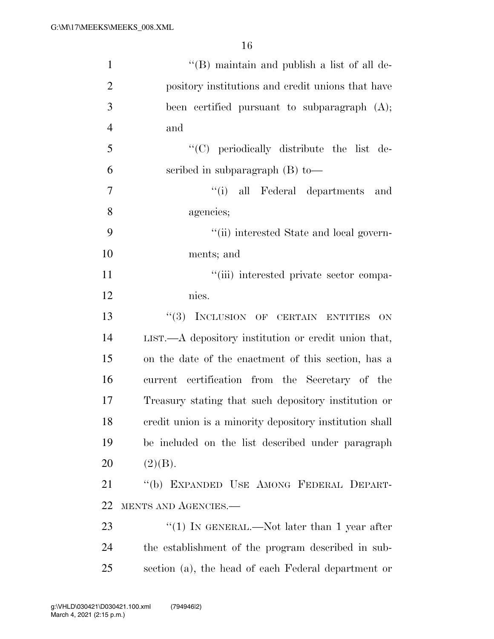| $\mathbf{1}$   | "(B) maintain and publish a list of all de-              |
|----------------|----------------------------------------------------------|
| $\overline{2}$ | pository institutions and credit unions that have        |
| 3              | been certified pursuant to subparagraph (A);             |
| $\overline{4}$ | and                                                      |
| 5              | "(C) periodically distribute the list de-                |
| 6              | scribed in subparagraph $(B)$ to —                       |
| $\overline{7}$ | "(i) all Federal departments and                         |
| 8              | agencies;                                                |
| 9              | "(ii) interested State and local govern-                 |
| 10             | ments; and                                               |
| 11             | "(iii) interested private sector compa-                  |
| 12             | nies.                                                    |
| 13             | "(3) INCLUSION OF CERTAIN ENTITIES<br>ON                 |
| 14             | $LIST. - A$ depository institution or credit union that, |
| 15             | on the date of the enactment of this section, has a      |
| 16             | current certification from the Secretary of the          |
| 17             | Treasury stating that such depository institution or     |
| 18             | credit union is a minority depository institution shall  |
| 19             | be included on the list described under paragraph        |
| 20             | (2)(B).                                                  |
| 21             | "(b) EXPANDED USE AMONG FEDERAL DEPART-                  |
| 22             | MENTS AND AGENCIES.-                                     |
| 23             | "(1) IN GENERAL.—Not later than 1 year after             |
| 24             | the establishment of the program described in sub-       |
| 25             | section (a), the head of each Federal department or      |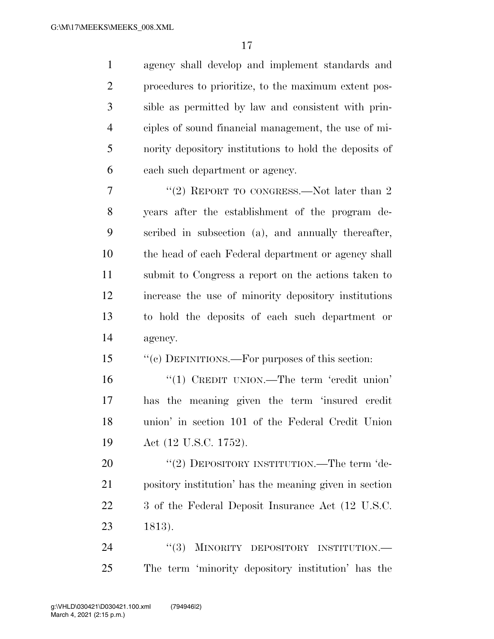agency shall develop and implement standards and procedures to prioritize, to the maximum extent pos- sible as permitted by law and consistent with prin- ciples of sound financial management, the use of mi- nority depository institutions to hold the deposits of each such department or agency. 7 "(2) REPORT TO CONGRESS.—Not later than 2

 years after the establishment of the program de- scribed in subsection (a), and annually thereafter, the head of each Federal department or agency shall submit to Congress a report on the actions taken to increase the use of minority depository institutions to hold the deposits of each such department or agency.

15 "(c) DEFINITIONS.—For purposes of this section:

16 '(1) CREDIT UNION.—The term 'credit union' has the meaning given the term 'insured credit union' in section 101 of the Federal Credit Union Act (12 U.S.C. 1752).

20 "(2) DEPOSITORY INSTITUTION.—The term 'de- pository institution' has the meaning given in section 3 of the Federal Deposit Insurance Act (12 U.S.C. 1813).

24 "(3) MINORITY DEPOSITORY INSTITUTION.— The term 'minority depository institution' has the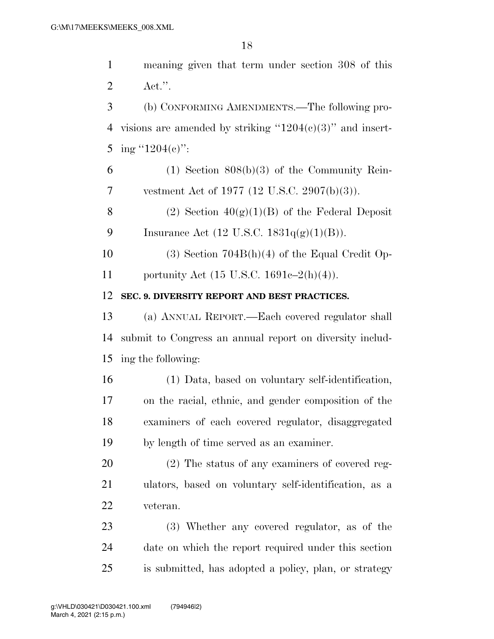meaning given that term under section 308 of this Act.''. (b) CONFORMING AMENDMENTS.—The following pro-4 visions are amended by striking " $1204(c)(3)$ " and insert-5 ing "1204(c)":  $6 \t\t\t (1) Section 808(b)(3) of the Community Rein-$  vestment Act of 1977 (12 U.S.C. 2907(b)(3)). 8 (2) Section  $40(g)(1)(B)$  of the Federal Deposit 9 Insurance Act  $(12 \text{ U.S.C. } 1831q(g)(1)(B)).$  (3) Section 704B(h)(4) of the Equal Credit Op- portunity Act (15 U.S.C. 1691c–2(h)(4)). **SEC. 9. DIVERSITY REPORT AND BEST PRACTICES.**  (a) ANNUAL REPORT.—Each covered regulator shall submit to Congress an annual report on diversity includ- ing the following: (1) Data, based on voluntary self-identification, on the racial, ethnic, and gender composition of the examiners of each covered regulator, disaggregated by length of time served as an examiner. (2) The status of any examiners of covered reg- ulators, based on voluntary self-identification, as a veteran. (3) Whether any covered regulator, as of the date on which the report required under this section is submitted, has adopted a policy, plan, or strategy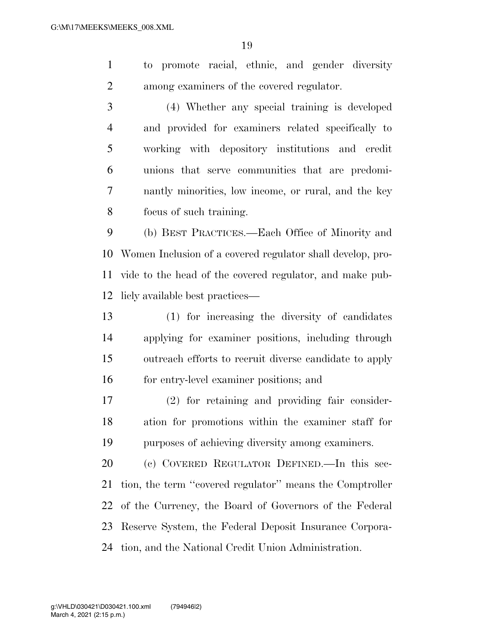to promote racial, ethnic, and gender diversity among examiners of the covered regulator.

 (4) Whether any special training is developed and provided for examiners related specifically to working with depository institutions and credit unions that serve communities that are predomi- nantly minorities, low income, or rural, and the key focus of such training.

 (b) BEST PRACTICES.—Each Office of Minority and Women Inclusion of a covered regulator shall develop, pro- vide to the head of the covered regulator, and make pub-licly available best practices—

 (1) for increasing the diversity of candidates applying for examiner positions, including through outreach efforts to recruit diverse candidate to apply for entry-level examiner positions; and

 (2) for retaining and providing fair consider- ation for promotions within the examiner staff for purposes of achieving diversity among examiners.

 (c) COVERED REGULATOR DEFINED.—In this sec- tion, the term ''covered regulator'' means the Comptroller of the Currency, the Board of Governors of the Federal Reserve System, the Federal Deposit Insurance Corpora-tion, and the National Credit Union Administration.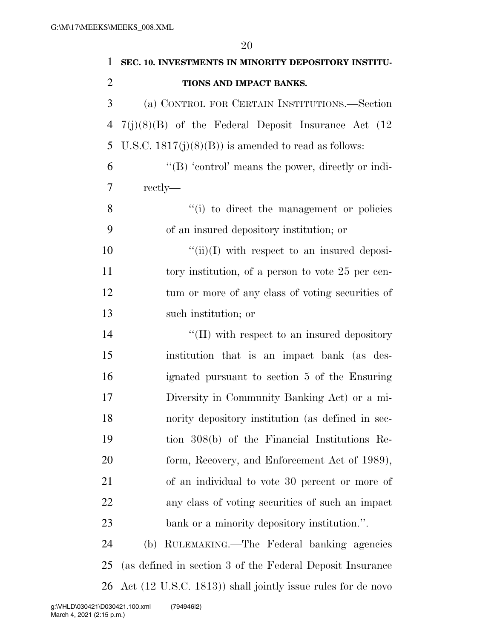| 1              | SEC. 10. INVESTMENTS IN MINORITY DEPOSITORY INSTITU-        |
|----------------|-------------------------------------------------------------|
| $\overline{2}$ | TIONS AND IMPACT BANKS.                                     |
| 3              | (a) CONTROL FOR CERTAIN INSTITUTIONS.—Section               |
| 4              | $7(j)(8)(B)$ of the Federal Deposit Insurance Act (12)      |
| 5              | U.S.C. $1817(j)(8)(B)$ is amended to read as follows:       |
| 6              | " $(B)$ 'control' means the power, directly or indi-        |
| 7              | rectly—                                                     |
| 8              | "(i) to direct the management or policies                   |
| 9              | of an insured depository institution; or                    |
| 10             | $\lq\lq$ (ii)(I) with respect to an insured deposi-         |
| 11             | tory institution, of a person to vote 25 per cen-           |
| 12             | tum or more of any class of voting securities of            |
| 13             | such institution; or                                        |
| 14             | "(II) with respect to an insured depository                 |
| 15             | institution that is an impact bank (as des-                 |
| 16             | ignated pursuant to section 5 of the Ensuring               |
| 17             | Diversity in Community Banking Act) or a mi-                |
| 18             | nority depository institution (as defined in sec-           |
| 19             | tion 308(b) of the Financial Institutions Re-               |
| 20             | form, Recovery, and Enforcement Act of 1989),               |
| 21             | of an individual to vote 30 percent or more of              |
| 22             | any class of voting securities of such an impact            |
| 23             | bank or a minority depository institution.".                |
| 24             | RULEMAKING.—The Federal banking agencies<br>(b)             |
| 25             | (as defined in section 3 of the Federal Deposit Insurance   |
| 26             | Act (12 U.S.C. 1813)) shall jointly issue rules for de novo |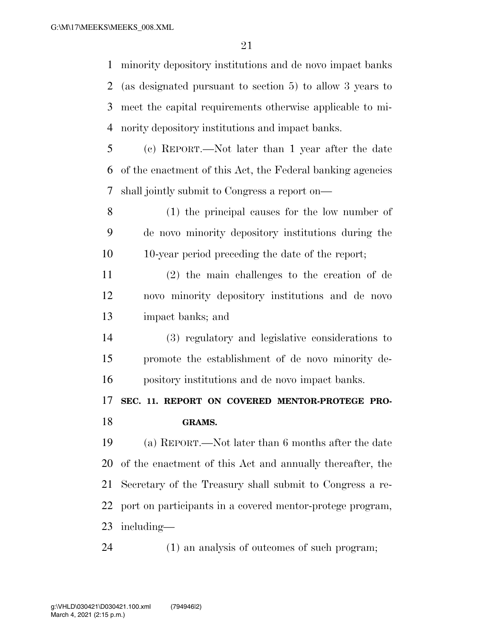minority depository institutions and de novo impact banks (as designated pursuant to section 5) to allow 3 years to meet the capital requirements otherwise applicable to mi-nority depository institutions and impact banks.

 (c) REPORT.—Not later than 1 year after the date of the enactment of this Act, the Federal banking agencies shall jointly submit to Congress a report on—

 (1) the principal causes for the low number of de novo minority depository institutions during the 10-year period preceding the date of the report;

 (2) the main challenges to the creation of de novo minority depository institutions and de novo impact banks; and

 (3) regulatory and legislative considerations to promote the establishment of de novo minority de-pository institutions and de novo impact banks.

 **SEC. 11. REPORT ON COVERED MENTOR-PROTEGE PRO-GRAMS.** 

 (a) REPORT.—Not later than 6 months after the date of the enactment of this Act and annually thereafter, the Secretary of the Treasury shall submit to Congress a re- port on participants in a covered mentor-protege program, including—

(1) an analysis of outcomes of such program;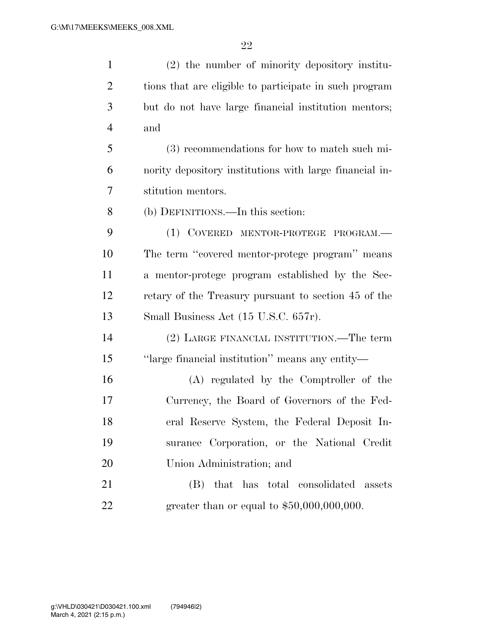| $\mathbf{1}$   | (2) the number of minority depository institu-          |
|----------------|---------------------------------------------------------|
| $\overline{2}$ | tions that are eligible to participate in such program  |
| 3              | but do not have large financial institution mentors;    |
| $\overline{4}$ | and                                                     |
| 5              | (3) recommendations for how to match such mi-           |
| 6              | nority depository institutions with large financial in- |
| 7              | stitution mentors.                                      |
| 8              | (b) DEFINITIONS.—In this section:                       |
| 9              | (1) COVERED MENTOR-PROTEGE PROGRAM.-                    |
| 10             | The term "covered mentor-protege program" means         |
| 11             | a mentor-protege program established by the Sec-        |
| 12             | retary of the Treasury pursuant to section 45 of the    |
| 13             | Small Business Act (15 U.S.C. 657r).                    |
| 14             | (2) LARGE FINANCIAL INSTITUTION.—The term               |
| 15             | "large financial institution" means any entity-         |
| 16             | (A) regulated by the Comptroller of the                 |
| 17             | Currency, the Board of Governors of the Fed-            |
| 18             | eral Reserve System, the Federal Deposit In-            |
| 19             | surance Corporation, or the National Credit             |
| 20             | Union Administration; and                               |
| 21             | that has total consolidated assets<br>(B)               |
| 22             | greater than or equal to $$50,000,000,000$ .            |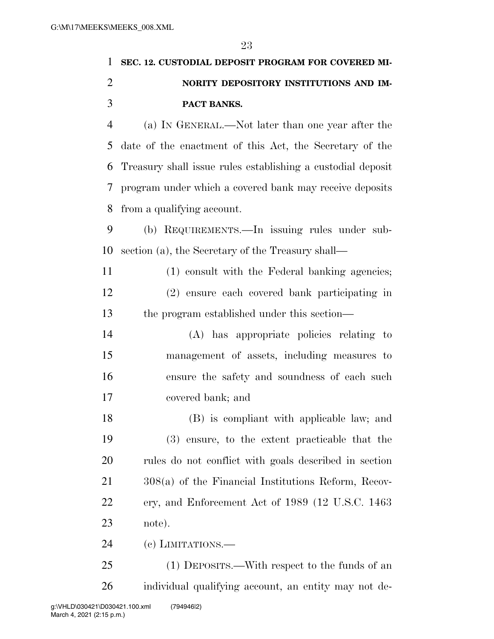## **SEC. 12. CUSTODIAL DEPOSIT PROGRAM FOR COVERED MI- NORITY DEPOSITORY INSTITUTIONS AND IM- PACT BANKS.**  (a) IN GENERAL.—Not later than one year after the date of the enactment of this Act, the Secretary of the Treasury shall issue rules establishing a custodial deposit program under which a covered bank may receive deposits from a qualifying account. (b) REQUIREMENTS.—In issuing rules under sub- section (a), the Secretary of the Treasury shall— (1) consult with the Federal banking agencies; (2) ensure each covered bank participating in the program established under this section—

 (A) has appropriate policies relating to management of assets, including measures to ensure the safety and soundness of each such covered bank; and

 (B) is compliant with applicable law; and (3) ensure, to the extent practicable that the rules do not conflict with goals described in section 308(a) of the Financial Institutions Reform, Recov- ery, and Enforcement Act of 1989 (12 U.S.C. 1463 note).

(c) LIMITATIONS.—

 (1) DEPOSITS.—With respect to the funds of an individual qualifying account, an entity may not de-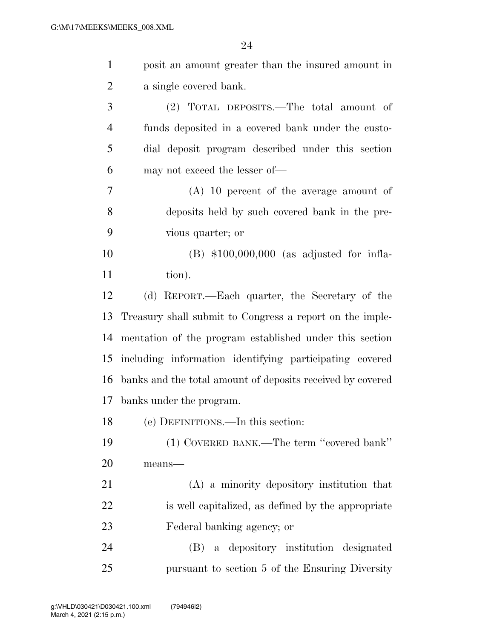| $\mathbf{1}$   | posit an amount greater than the insured amount in         |
|----------------|------------------------------------------------------------|
| $\overline{2}$ | a single covered bank.                                     |
| 3              | (2) TOTAL DEPOSITS.—The total amount of                    |
| $\overline{4}$ | funds deposited in a covered bank under the custo-         |
| 5              | dial deposit program described under this section          |
| 6              | may not exceed the lesser of—                              |
| 7              | $(A)$ 10 percent of the average amount of                  |
| 8              | deposits held by such covered bank in the pre-             |
| 9              | vious quarter; or                                          |
| 10             | $(B)$ \$100,000,000 (as adjusted for infla-                |
| 11             | tion).                                                     |
| 12             | (d) REPORT.—Each quarter, the Secretary of the             |
| 13             | Treasury shall submit to Congress a report on the imple-   |
| 14             | mentation of the program established under this section    |
| 15             | including information identifying participating covered    |
| 16             | banks and the total amount of deposits received by covered |
| 17             | banks under the program.                                   |
| 18             | (e) DEFINITIONS.—In this section:                          |
| 19             | (1) COVERED BANK.—The term "covered bank"                  |
| 20             | means-                                                     |
| 21             | (A) a minority depository institution that                 |
| 22             | is well capitalized, as defined by the appropriate         |
| 23             | Federal banking agency; or                                 |
| 24             | (B) a depository institution designated                    |
| 25             | pursuant to section 5 of the Ensuring Diversity            |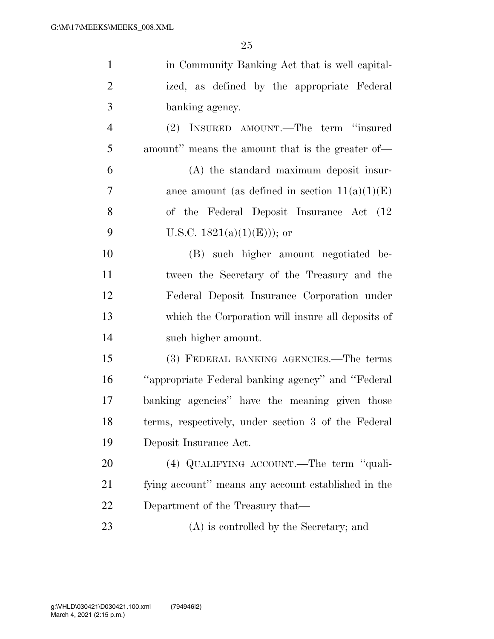| $\mathbf{1}$   | in Community Banking Act that is well capital-      |
|----------------|-----------------------------------------------------|
| $\overline{2}$ | ized, as defined by the appropriate Federal         |
| 3              | banking agency.                                     |
| $\overline{4}$ | (2) INSURED AMOUNT.—The term "insured               |
| 5              | amount" means the amount that is the greater of-    |
| 6              | (A) the standard maximum deposit insur-             |
| $\tau$         | ance amount (as defined in section $11(a)(1)(E)$ )  |
| 8              | of the Federal Deposit Insurance Act (12)           |
| 9              | U.S.C. $1821(a)(1)(E))$ ; or                        |
| 10             | (B) such higher amount negotiated be-               |
| 11             | tween the Secretary of the Treasury and the         |
| 12             | Federal Deposit Insurance Corporation under         |
| 13             | which the Corporation will insure all deposits of   |
| 14             | such higher amount.                                 |
| 15             | (3) FEDERAL BANKING AGENCIES.—The terms             |
| 16             | "appropriate Federal banking agency" and "Federal   |
| 17             | banking agencies" have the meaning given those      |
| 18             | terms, respectively, under section 3 of the Federal |
| 19             | Deposit Insurance Act.                              |
| 20             | (4) QUALIFYING ACCOUNT.—The term "quali-            |
| 21             | fying account" means any account established in the |
| 22             | Department of the Treasury that—                    |
|                |                                                     |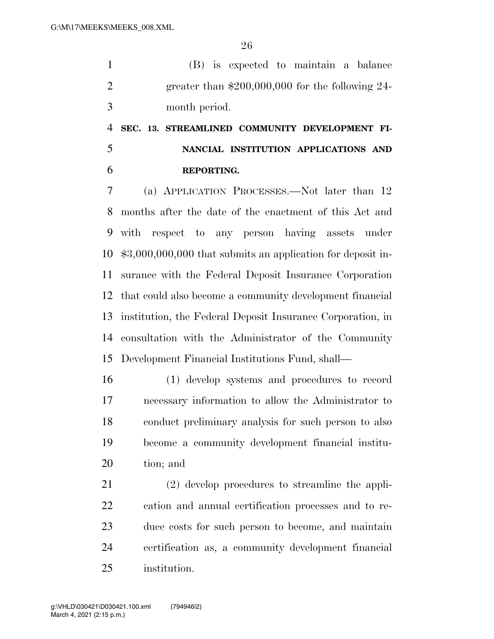(B) is expected to maintain a balance greater than \$200,000,000 for the following 24- month period.

### **SEC. 13. STREAMLINED COMMUNITY DEVELOPMENT FI- NANCIAL INSTITUTION APPLICATIONS AND REPORTING.**

 (a) APPLICATION PROCESSES.—Not later than 12 months after the date of the enactment of this Act and with respect to any person having assets under \$3,000,000,000 that submits an application for deposit in- surance with the Federal Deposit Insurance Corporation that could also become a community development financial institution, the Federal Deposit Insurance Corporation, in consultation with the Administrator of the Community Development Financial Institutions Fund, shall—

 (1) develop systems and procedures to record necessary information to allow the Administrator to conduct preliminary analysis for such person to also become a community development financial institu-tion; and

 (2) develop procedures to streamline the appli- cation and annual certification processes and to re- duce costs for such person to become, and maintain certification as, a community development financial institution.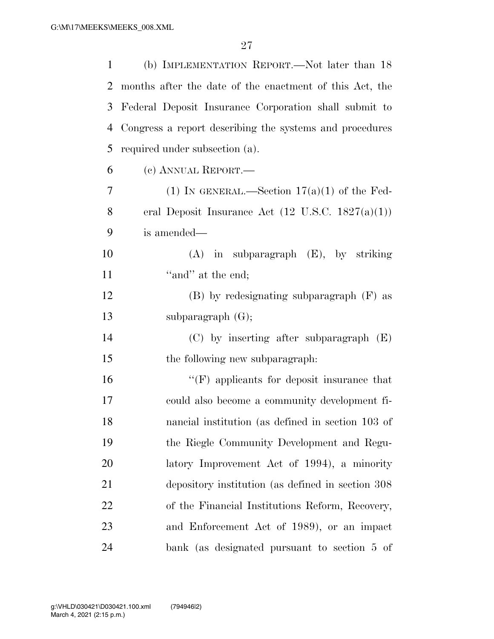| 1              | (b) IMPLEMENTATION REPORT.—Not later than 18                 |
|----------------|--------------------------------------------------------------|
| 2              | months after the date of the enactment of this Act, the      |
| 3              | Federal Deposit Insurance Corporation shall submit to        |
| 4              | Congress a report describing the systems and procedures      |
| 5              | required under subsection (a).                               |
| 6              | (c) ANNUAL REPORT.—                                          |
| $\overline{7}$ | (1) IN GENERAL.—Section $17(a)(1)$ of the Fed-               |
| 8              | eral Deposit Insurance Act $(12 \text{ U.S.C. } 1827(a)(1))$ |
| 9              | is amended—                                                  |
| 10             | $(A)$ in subparagraph $(E)$ , by striking                    |
| 11             | "and" at the end;                                            |
| 12             | $(B)$ by redesignating subparagraph $(F)$ as                 |
| 13             | subparagraph $(G);$                                          |
| 14             | $(C)$ by inserting after subparagraph $(E)$                  |
| 15             | the following new subparagraph:                              |
| 16             | $\lq\lq(F)$ applicants for deposit insurance that            |
| 17             | could also become a community development fi-                |
| 18             | nancial institution (as defined in section 103 of            |
| 19             | the Riegle Community Development and Regu-                   |
| 20             | latory Improvement Act of 1994), a minority                  |
| 21             | depository institution (as defined in section 308)           |
| 22             | of the Financial Institutions Reform, Recovery,              |
| 23             | and Enforcement Act of 1989), or an impact                   |
| 24             | bank (as designated pursuant to section 5 of                 |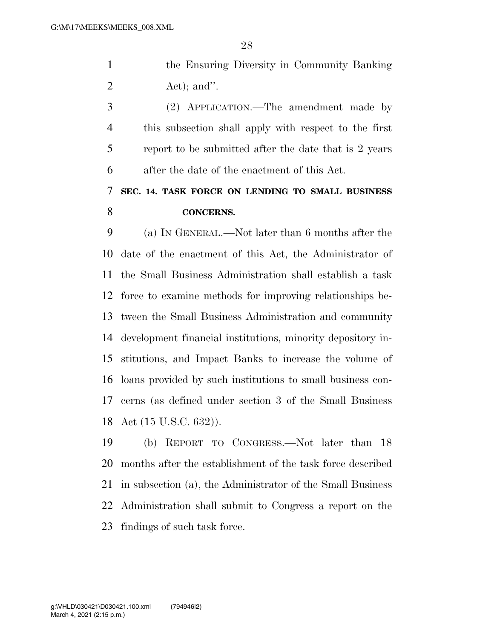the Ensuring Diversity in Community Banking  $2 \text{ Act}$ ; and".

 (2) APPLICATION.—The amendment made by this subsection shall apply with respect to the first report to be submitted after the date that is 2 years after the date of the enactment of this Act.

### **SEC. 14. TASK FORCE ON LENDING TO SMALL BUSINESS CONCERNS.**

 (a) IN GENERAL.—Not later than 6 months after the date of the enactment of this Act, the Administrator of the Small Business Administration shall establish a task force to examine methods for improving relationships be- tween the Small Business Administration and community development financial institutions, minority depository in- stitutions, and Impact Banks to increase the volume of loans provided by such institutions to small business con- cerns (as defined under section 3 of the Small Business Act (15 U.S.C. 632)).

 (b) REPORT TO CONGRESS.—Not later than 18 months after the establishment of the task force described in subsection (a), the Administrator of the Small Business Administration shall submit to Congress a report on the findings of such task force.